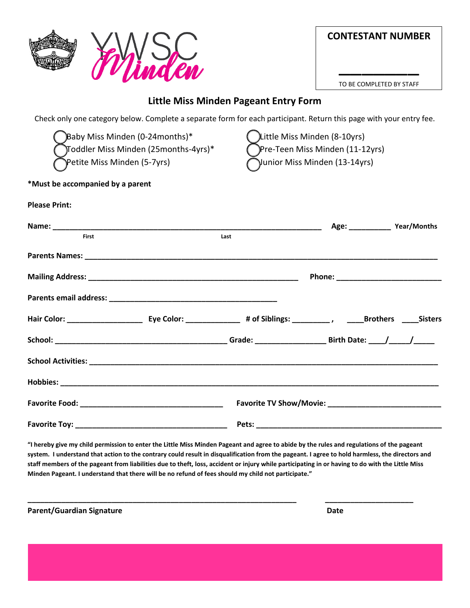|                                                                                                                                                                                                                                                                                            | <b>CONTESTANT NUMBER</b>                                                                                            |  |  |
|--------------------------------------------------------------------------------------------------------------------------------------------------------------------------------------------------------------------------------------------------------------------------------------------|---------------------------------------------------------------------------------------------------------------------|--|--|
|                                                                                                                                                                                                                                                                                            | TO BE COMPLETED BY STAFF                                                                                            |  |  |
|                                                                                                                                                                                                                                                                                            | Little Miss Minden Pageant Entry Form                                                                               |  |  |
|                                                                                                                                                                                                                                                                                            | Check only one category below. Complete a separate form for each participant. Return this page with your entry fee. |  |  |
| Baby Miss Minden (0-24months)*<br>Little Miss Minden (8-10yrs)<br>Toddler Miss Minden (25months-4yrs)*<br>Pre-Teen Miss Minden (11-12yrs)<br>Petite Miss Minden (5-7yrs)<br>Junior Miss Minden (13-14yrs)                                                                                  |                                                                                                                     |  |  |
| *Must be accompanied by a parent                                                                                                                                                                                                                                                           |                                                                                                                     |  |  |
| <b>Please Print:</b>                                                                                                                                                                                                                                                                       |                                                                                                                     |  |  |
| <b>First</b><br>Last                                                                                                                                                                                                                                                                       | Age: ________________ Year/Months                                                                                   |  |  |
|                                                                                                                                                                                                                                                                                            |                                                                                                                     |  |  |
|                                                                                                                                                                                                                                                                                            |                                                                                                                     |  |  |
|                                                                                                                                                                                                                                                                                            |                                                                                                                     |  |  |
|                                                                                                                                                                                                                                                                                            |                                                                                                                     |  |  |
|                                                                                                                                                                                                                                                                                            |                                                                                                                     |  |  |
|                                                                                                                                                                                                                                                                                            |                                                                                                                     |  |  |
|                                                                                                                                                                                                                                                                                            |                                                                                                                     |  |  |
|                                                                                                                                                                                                                                                                                            |                                                                                                                     |  |  |
|                                                                                                                                                                                                                                                                                            |                                                                                                                     |  |  |
| "I hereby give my child permission to enter the Little Miss Minden Pageant and agree to abide by the rules and regulations of the pageant<br>cyctom. Lundorstand that astion to the contrary could result in discuplification from the naggant. Lagree to hold harmless, the directors and |                                                                                                                     |  |  |

**system. I understand that action to the contrary could result in disqualification from the pageant. I agree to hold harmless, the directors and staff members of the pageant from liabilities due to theft, loss, accident or injury while participating in or having to do with the Little Miss Minden Pageant. I understand that there will be no refund of fees should my child not participate."**

**\_\_\_\_\_\_\_\_\_\_\_\_\_\_\_\_\_\_\_\_\_\_\_\_\_\_\_\_\_\_\_\_\_\_\_\_\_\_\_\_\_\_\_\_\_\_\_\_\_\_\_\_\_\_\_\_\_\_\_\_\_\_\_\_ \_\_\_\_\_\_\_\_\_\_\_\_\_\_\_\_\_\_\_\_\_** 

Parent/Guardian Signature **Date 2018 Date Date**